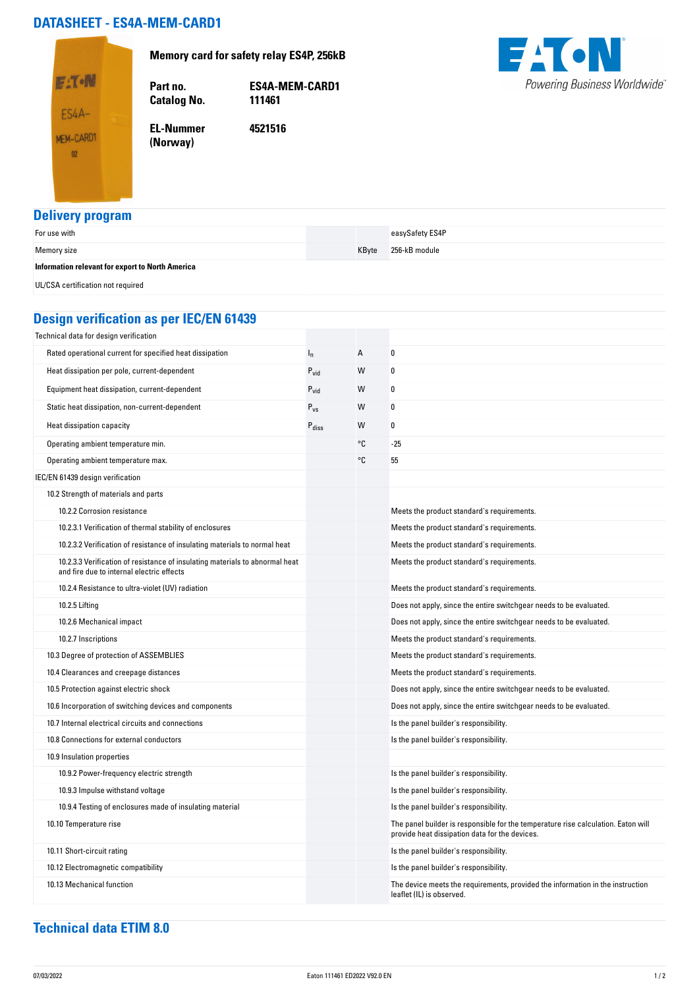## **DATASHEET - ES4A-MEM-CARD1**

**Catalog No.** 

**EL-Nummer (Norway)** 

**Memory card for safety relay ES4P, 256kB**



**Part no. ES4A-MEM-CARD1**

**4521516**



## **Delivery program**

| __                                               |       |                 |
|--------------------------------------------------|-------|-----------------|
| For use with                                     |       | easySafety ES4P |
| Memory size                                      | KByte | 256-kB module   |
| Information relevant for export to North America |       |                 |
| UL/CSA certification not required                |       |                 |

## **Design verification as per IEC/EN 61439**

| Technical data for design verification                                                                                    |                   |    |                                                                                                                                     |
|---------------------------------------------------------------------------------------------------------------------------|-------------------|----|-------------------------------------------------------------------------------------------------------------------------------------|
| Rated operational current for specified heat dissipation                                                                  | $I_n$             | А  | 0                                                                                                                                   |
| Heat dissipation per pole, current-dependent                                                                              | $P_{vid}$         | W  | 0                                                                                                                                   |
| Equipment heat dissipation, current-dependent                                                                             | $P_{\text{vid}}$  | W  | 0                                                                                                                                   |
| Static heat dissipation, non-current-dependent                                                                            | $P_{VS}$          | W  | 0                                                                                                                                   |
| Heat dissipation capacity                                                                                                 | $P_{\text{diss}}$ | W  | 0                                                                                                                                   |
| Operating ambient temperature min.                                                                                        |                   | °C | -25                                                                                                                                 |
| Operating ambient temperature max.                                                                                        |                   | °C | 55                                                                                                                                  |
| IEC/EN 61439 design verification                                                                                          |                   |    |                                                                                                                                     |
| 10.2 Strength of materials and parts                                                                                      |                   |    |                                                                                                                                     |
| 10.2.2 Corrosion resistance                                                                                               |                   |    | Meets the product standard's requirements.                                                                                          |
| 10.2.3.1 Verification of thermal stability of enclosures                                                                  |                   |    | Meets the product standard's requirements.                                                                                          |
| 10.2.3.2 Verification of resistance of insulating materials to normal heat                                                |                   |    | Meets the product standard's requirements.                                                                                          |
| 10.2.3.3 Verification of resistance of insulating materials to abnormal heat<br>and fire due to internal electric effects |                   |    | Meets the product standard's requirements.                                                                                          |
| 10.2.4 Resistance to ultra-violet (UV) radiation                                                                          |                   |    | Meets the product standard's requirements.                                                                                          |
| 10.2.5 Lifting                                                                                                            |                   |    | Does not apply, since the entire switchgear needs to be evaluated.                                                                  |
| 10.2.6 Mechanical impact                                                                                                  |                   |    | Does not apply, since the entire switchgear needs to be evaluated.                                                                  |
| 10.2.7 Inscriptions                                                                                                       |                   |    | Meets the product standard's requirements.                                                                                          |
| 10.3 Degree of protection of ASSEMBLIES                                                                                   |                   |    | Meets the product standard's requirements.                                                                                          |
| 10.4 Clearances and creepage distances                                                                                    |                   |    | Meets the product standard's requirements.                                                                                          |
| 10.5 Protection against electric shock                                                                                    |                   |    | Does not apply, since the entire switchgear needs to be evaluated.                                                                  |
| 10.6 Incorporation of switching devices and components                                                                    |                   |    | Does not apply, since the entire switchgear needs to be evaluated.                                                                  |
| 10.7 Internal electrical circuits and connections                                                                         |                   |    | Is the panel builder's responsibility.                                                                                              |
| 10.8 Connections for external conductors                                                                                  |                   |    | Is the panel builder's responsibility.                                                                                              |
| 10.9 Insulation properties                                                                                                |                   |    |                                                                                                                                     |
| 10.9.2 Power-frequency electric strength                                                                                  |                   |    | Is the panel builder's responsibility.                                                                                              |
| 10.9.3 Impulse withstand voltage                                                                                          |                   |    | Is the panel builder's responsibility.                                                                                              |
| 10.9.4 Testing of enclosures made of insulating material                                                                  |                   |    | Is the panel builder's responsibility.                                                                                              |
| 10.10 Temperature rise                                                                                                    |                   |    | The panel builder is responsible for the temperature rise calculation. Eaton will<br>provide heat dissipation data for the devices. |
| 10.11 Short-circuit rating                                                                                                |                   |    | Is the panel builder's responsibility.                                                                                              |
| 10.12 Electromagnetic compatibility                                                                                       |                   |    | Is the panel builder's responsibility.                                                                                              |
| 10.13 Mechanical function                                                                                                 |                   |    | The device meets the requirements, provided the information in the instruction<br>leaflet (IL) is observed.                         |

## **Technical data ETIM 8.0**